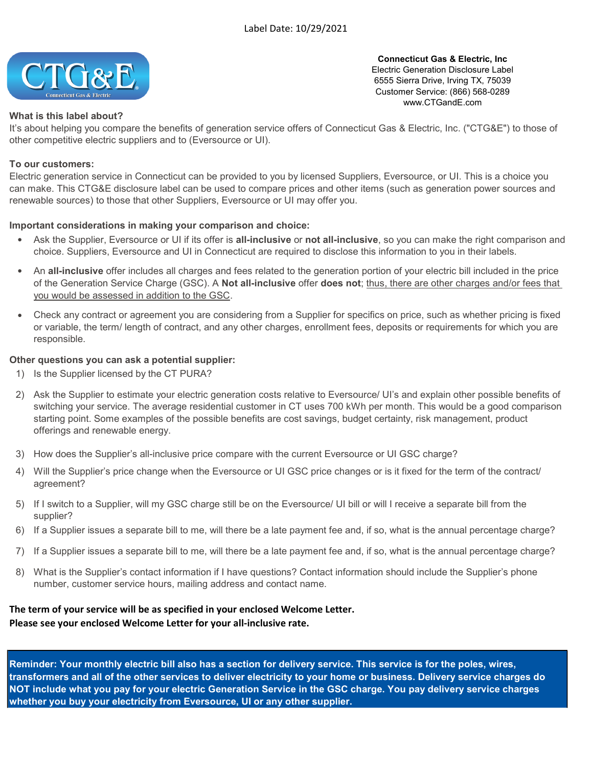

Connecticut Gas & Electric, Inc Electric Generation Disclosure Label 6555 Sierra Drive, Irving TX, 75039 Customer Service: (866) 568-0289 www.CTGandE.com

## What is this label about?

It's about helping you compare the benefits of generation service offers of Connecticut Gas & Electric, Inc. ("CTG&E") to those of other competitive electric suppliers and to (Eversource or UI).

## To our customers:

Electric generation service in Connecticut can be provided to you by licensed Suppliers, Eversource, or UI. This is a choice you can make. This CTG&E disclosure label can be used to compare prices and other items (such as generation power sources and renewable sources) to those that other Suppliers, Eversource or UI may offer you.

## Important considerations in making your comparison and choice:

- $\bullet$ Ask the Supplier, Eversource or UI if its offer is all-inclusive or not all-inclusive, so you can make the right comparison and choice. Suppliers, Eversource and UI in Connecticut are required to disclose this information to you in their labels.
- An all-inclusive offer includes all charges and fees related to the generation portion of your electric bill included in the price of the Generation Service Charge (GSC). A **Not all-inclusive** offer **does not**; thus, there are other charges and/or fees that you would be assessed in addition to the GSC.
- Check any contract or agreement you are considering from a Supplier for specifics on price, such as whether pricing is fixed or variable, the term/ length of contract, and any other charges, enrollment fees, deposits or requirements for which you are responsible.

## Other questions you can ask a potential supplier:

- 1) Is the Supplier licensed by the CT PURA?
- 2) Ask the Supplier to estimate your electric generation costs relative to Eversource/ UI's and explain other possible benefits of switching your service. The average residential customer in CT uses 700 kWh per month. This would be a good comparison starting point. Some examples of the possible benefits are cost savings, budget certainty, risk management, product offerings and renewable energy.
- 3) How does the Supplier's all-inclusive price compare with the current Eversource or UI GSC charge?
- 4) Will the Supplier's price change when the Eversource or UI GSC price changes or is it fixed for the term of the contract/ agreement?
- 5) If I switch to a Supplier, will my GSC charge still be on the Eversource/ UI bill or will I receive a separate bill from the supplier?
- 6) If a Supplier issues a separate bill to me, will there be a late payment fee and, if so, what is the annual percentage charge?
- 7) If a Supplier issues a separate bill to me, will there be a late payment fee and, if so, what is the annual percentage charge?
- 8) What is the Supplier's contact information if I have questions? Contact information should include the Supplier's phone number, customer service hours, mailing address and contact name.

# The term of your service will be as specified in your enclosed Welcome Letter. Please see your enclosed Welcome Letter for your all-inclusive rate.

Reminder: Your monthly electric bill also has a section for delivery service. This service is for the poles, wires, transformers and all of the other services to deliver electricity to your home or business. Delivery service charges do NOT include what you pay for your electric Generation Service in the GSC charge. You pay delivery service charges whether you buy your electricity from Eversource, UI or any other supplier.